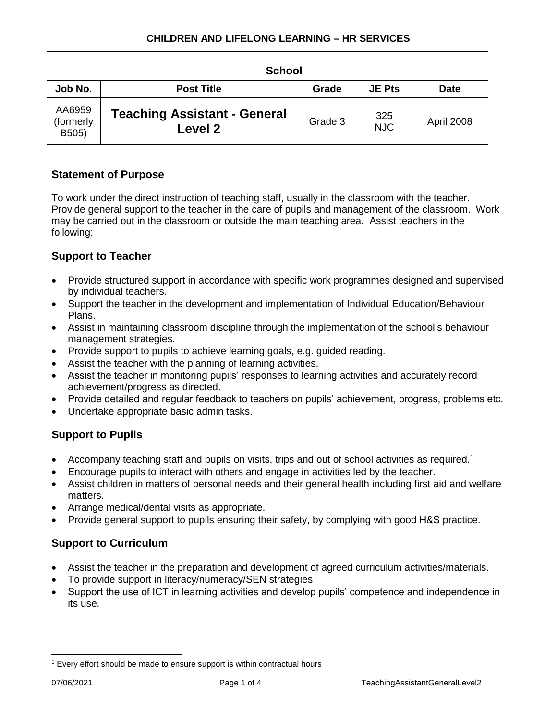| <b>School</b>                |                                                       |         |                   |             |  |
|------------------------------|-------------------------------------------------------|---------|-------------------|-------------|--|
| Job No.                      | <b>Post Title</b>                                     | Grade   | <b>JE Pts</b>     | <b>Date</b> |  |
| AA6959<br>(formerly<br>B505) | <b>Teaching Assistant - General</b><br><b>Level 2</b> | Grade 3 | 325<br><b>NJC</b> | April 2008  |  |

## **Statement of Purpose**

To work under the direct instruction of teaching staff, usually in the classroom with the teacher. Provide general support to the teacher in the care of pupils and management of the classroom. Work may be carried out in the classroom or outside the main teaching area. Assist teachers in the following:

## **Support to Teacher**

- Provide structured support in accordance with specific work programmes designed and supervised by individual teachers.
- Support the teacher in the development and implementation of Individual Education/Behaviour Plans.
- Assist in maintaining classroom discipline through the implementation of the school's behaviour management strategies.
- Provide support to pupils to achieve learning goals, e.g. guided reading.
- Assist the teacher with the planning of learning activities.
- Assist the teacher in monitoring pupils' responses to learning activities and accurately record achievement/progress as directed.
- Provide detailed and regular feedback to teachers on pupils' achievement, progress, problems etc.
- Undertake appropriate basic admin tasks.

## **Support to Pupils**

- Accompany teaching staff and pupils on visits, trips and out of school activities as required.<sup>1</sup>
- Encourage pupils to interact with others and engage in activities led by the teacher.
- Assist children in matters of personal needs and their general health including first aid and welfare matters.
- Arrange medical/dental visits as appropriate.
- Provide general support to pupils ensuring their safety, by complying with good H&S practice.

## **Support to Curriculum**

- Assist the teacher in the preparation and development of agreed curriculum activities/materials.
- To provide support in literacy/numeracy/SEN strategies
- Support the use of ICT in learning activities and develop pupils' competence and independence in its use.

<sup>&</sup>lt;sup>1</sup> Every effort should be made to ensure support is within contractual hours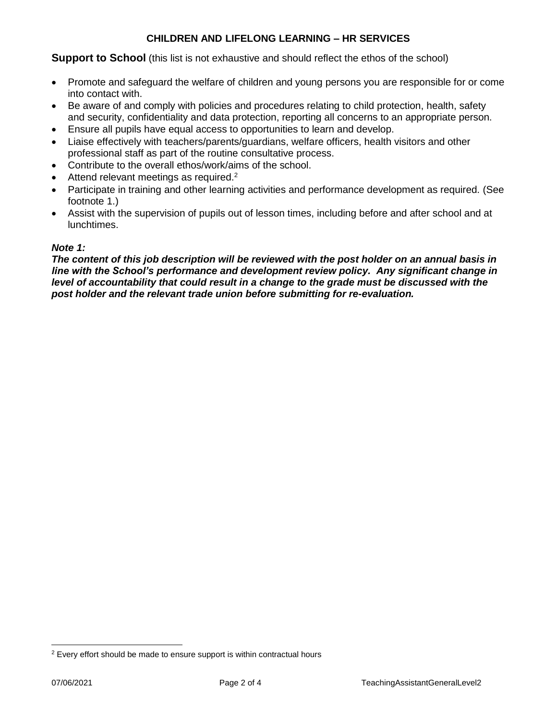### **CHILDREN AND LIFELONG LEARNING – HR SERVICES**

**Support to School** (this list is not exhaustive and should reflect the ethos of the school)

- Promote and safeguard the welfare of children and young persons you are responsible for or come into contact with.
- Be aware of and comply with policies and procedures relating to child protection, health, safety and security, confidentiality and data protection, reporting all concerns to an appropriate person.
- Ensure all pupils have equal access to opportunities to learn and develop.
- Liaise effectively with teachers/parents/guardians, welfare officers, health visitors and other professional staff as part of the routine consultative process.
- Contribute to the overall ethos/work/aims of the school.
- $\bullet$  Attend relevant meetings as required.<sup>2</sup>
- Participate in training and other learning activities and performance development as required. (See footnote 1.)
- Assist with the supervision of pupils out of lesson times, including before and after school and at lunchtimes.

#### *Note 1:*

*The content of this job description will be reviewed with the post holder on an annual basis in line with the School's performance and development review policy. Any significant change in*  level of accountability that could result in a change to the grade must be discussed with the *post holder and the relevant trade union before submitting for re-evaluation.*

 $\overline{a}$ 

<sup>&</sup>lt;sup>2</sup> Every effort should be made to ensure support is within contractual hours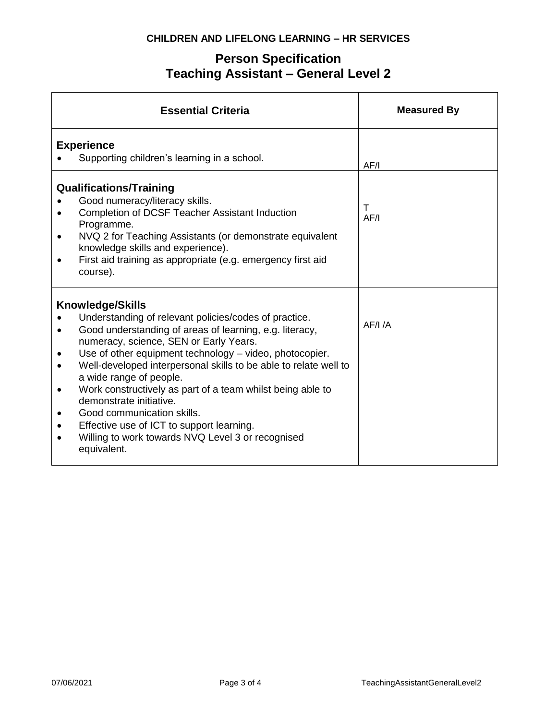## **CHILDREN AND LIFELONG LEARNING – HR SERVICES**

# **Person Specification Teaching Assistant – General Level 2**

| <b>Essential Criteria</b>                                                                                                                                                                                                                                                                                                                                                                                                                                                                                                                                                                                         | <b>Measured By</b> |
|-------------------------------------------------------------------------------------------------------------------------------------------------------------------------------------------------------------------------------------------------------------------------------------------------------------------------------------------------------------------------------------------------------------------------------------------------------------------------------------------------------------------------------------------------------------------------------------------------------------------|--------------------|
| <b>Experience</b><br>Supporting children's learning in a school.<br><b>Qualifications/Training</b><br>Good numeracy/literacy skills.<br>Completion of DCSF Teacher Assistant Induction<br>Programme.<br>NVQ 2 for Teaching Assistants (or demonstrate equivalent<br>knowledge skills and experience).<br>First aid training as appropriate (e.g. emergency first aid<br>course).                                                                                                                                                                                                                                  | AF/I<br>Т<br>AF/I  |
| <b>Knowledge/Skills</b><br>Understanding of relevant policies/codes of practice.<br>Good understanding of areas of learning, e.g. literacy,<br>$\bullet$<br>numeracy, science, SEN or Early Years.<br>Use of other equipment technology - video, photocopier.<br>Well-developed interpersonal skills to be able to relate well to<br>a wide range of people.<br>Work constructively as part of a team whilst being able to<br>$\bullet$<br>demonstrate initiative.<br>Good communication skills.<br>Effective use of ICT to support learning.<br>Willing to work towards NVQ Level 3 or recognised<br>equivalent. | AF/I/A             |